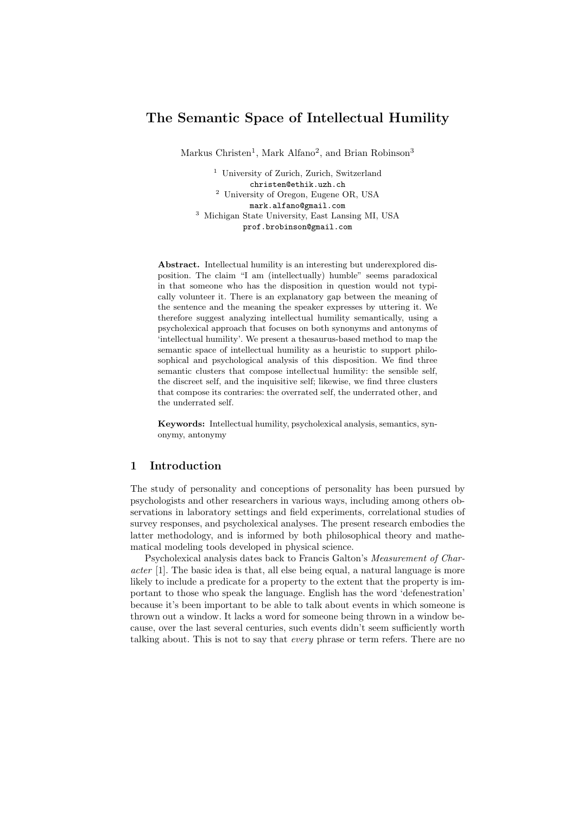# **The Semantic Space of Intellectual Humility**

Markus Christen<sup>1</sup>, Mark Alfano<sup>2</sup>, and Brian Robinson<sup>3</sup>

<sup>1</sup> University of Zurich, Zurich, Switzerland christen@ethik.uzh.ch <sup>2</sup> University of Oregon, Eugene OR, USA mark.alfano@gmail.com <sup>3</sup> Michigan State University, East Lansing MI, USA prof.brobinson@gmail.com

**Abstract.** Intellectual humility is an interesting but underexplored disposition. The claim "I am (intellectually) humble" seems paradoxical in that someone who has the disposition in question would not typically volunteer it. There is an explanatory gap between the meaning of the sentence and the meaning the speaker expresses by uttering it. We therefore suggest analyzing intellectual humility semantically, using a psycholexical approach that focuses on both synonyms and antonyms of 'intellectual humility'. We present a thesaurus-based method to map the semantic space of intellectual humility as a heuristic to support philosophical and psychological analysis of this disposition. We find three semantic clusters that compose intellectual humility: the sensible self, the discreet self, and the inquisitive self; likewise, we find three clusters that compose its contraries: the overrated self, the underrated other, and the underrated self.

**Keywords:** Intellectual humility, psycholexical analysis, semantics, synonymy, antonymy

### **1 Introduction**

The study of personality and conceptions of personality has been pursued by psychologists and other researchers in various ways, including among others observations in laboratory settings and field experiments, correlational studies of survey responses, and psycholexical analyses. The present research embodies the latter methodology, and is informed by both philosophical theory and mathematical modeling tools developed in physical science.

Psycholexical analysis dates back to Francis Galton's *Measurement of Character* [1]. The basic idea is that, all else being equal, a natural language is more likely to include a predicate for a property to the extent that the property is important to those who speak the language. English has the word 'defenestration' because it's been important to be able to talk about events in which someone is thrown out a window. It lacks a word for someone being thrown in a window because, over the last several centuries, such events didn't seem sufficiently worth talking about. This is not to say that *every* phrase or term refers. There are no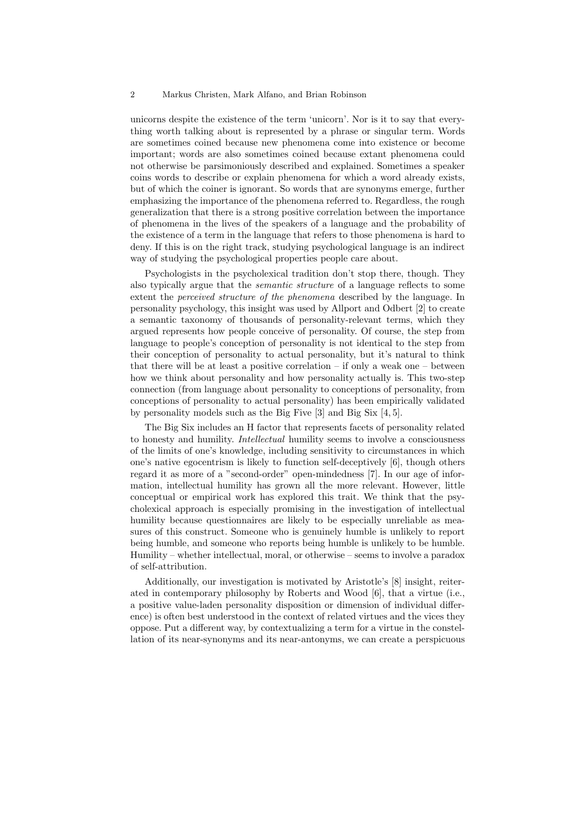#### 2 Markus Christen, Mark Alfano, and Brian Robinson

unicorns despite the existence of the term 'unicorn'. Nor is it to say that everything worth talking about is represented by a phrase or singular term. Words are sometimes coined because new phenomena come into existence or become important; words are also sometimes coined because extant phenomena could not otherwise be parsimoniously described and explained. Sometimes a speaker coins words to describe or explain phenomena for which a word already exists, but of which the coiner is ignorant. So words that are synonyms emerge, further emphasizing the importance of the phenomena referred to. Regardless, the rough generalization that there is a strong positive correlation between the importance of phenomena in the lives of the speakers of a language and the probability of the existence of a term in the language that refers to those phenomena is hard to deny. If this is on the right track, studying psychological language is an indirect way of studying the psychological properties people care about.

Psychologists in the psycholexical tradition don't stop there, though. They also typically argue that the *semantic structure* of a language reflects to some extent the *perceived structure of the phenomena* described by the language. In personality psychology, this insight was used by Allport and Odbert [2] to create a semantic taxonomy of thousands of personality-relevant terms, which they argued represents how people conceive of personality. Of course, the step from language to people's conception of personality is not identical to the step from their conception of personality to actual personality, but it's natural to think that there will be at least a positive correlation  $-$  if only a weak one  $-$  between how we think about personality and how personality actually is. This two-step connection (from language about personality to conceptions of personality, from conceptions of personality to actual personality) has been empirically validated by personality models such as the Big Five [3] and Big Six [4, 5].

The Big Six includes an H factor that represents facets of personality related to honesty and humility. *Intellectual* humility seems to involve a consciousness of the limits of one's knowledge, including sensitivity to circumstances in which one's native egocentrism is likely to function self-deceptively [6], though others regard it as more of a "second-order" open-mindedness [7]. In our age of information, intellectual humility has grown all the more relevant. However, little conceptual or empirical work has explored this trait. We think that the psycholexical approach is especially promising in the investigation of intellectual humility because questionnaires are likely to be especially unreliable as measures of this construct. Someone who is genuinely humble is unlikely to report being humble, and someone who reports being humble is unlikely to be humble. Humility – whether intellectual, moral, or otherwise – seems to involve a paradox of self-attribution.

Additionally, our investigation is motivated by Aristotle's [8] insight, reiterated in contemporary philosophy by Roberts and Wood [6], that a virtue (i.e., a positive value-laden personality disposition or dimension of individual difference) is often best understood in the context of related virtues and the vices they oppose. Put a different way, by contextualizing a term for a virtue in the constellation of its near-synonyms and its near-antonyms, we can create a perspicuous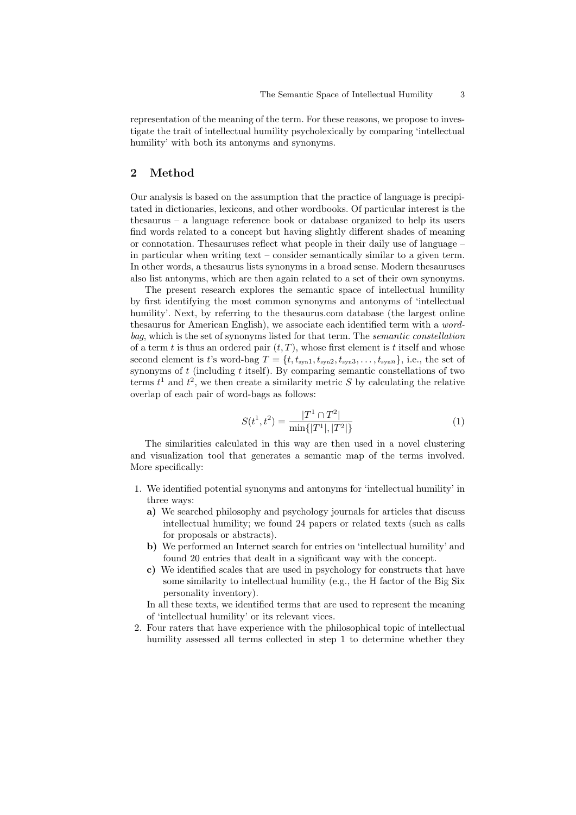representation of the meaning of the term. For these reasons, we propose to investigate the trait of intellectual humility psycholexically by comparing 'intellectual humility' with both its antonyms and synonyms.

# **2 Method**

Our analysis is based on the assumption that the practice of language is precipitated in dictionaries, lexicons, and other wordbooks. Of particular interest is the thesaurus – a language reference book or database organized to help its users find words related to a concept but having slightly different shades of meaning or connotation. Thesauruses reflect what people in their daily use of language – in particular when writing text – consider semantically similar to a given term. In other words, a thesaurus lists synonyms in a broad sense. Modern thesauruses also list antonyms, which are then again related to a set of their own synonyms.

The present research explores the semantic space of intellectual humility by first identifying the most common synonyms and antonyms of 'intellectual humility'. Next, by referring to the thesaurus.com database (the largest online thesaurus for American English), we associate each identified term with a *wordbag*, which is the set of synonyms listed for that term. The *semantic constellation* of a term  $t$  is thus an ordered pair  $(t, T)$ , whose first element is  $t$  itself and whose second element is *t*'s word-bag  $T = \{t, t_{syn1}, t_{syn2}, t_{syn3}, \ldots, t_{synn}\},$  i.e., the set of synonyms of *t* (including *t* itself). By comparing semantic constellations of two terms  $t^1$  and  $t^2$ , we then create a similarity metric *S* by calculating the relative overlap of each pair of word-bags as follows:

$$
S(t^1, t^2) = \frac{|T^1 \cap T^2|}{\min\{|T^1|, |T^2|\}}\tag{1}
$$

The similarities calculated in this way are then used in a novel clustering and visualization tool that generates a semantic map of the terms involved. More specifically:

- 1. We identified potential synonyms and antonyms for 'intellectual humility' in three ways:
	- **a)** We searched philosophy and psychology journals for articles that discuss intellectual humility; we found 24 papers or related texts (such as calls for proposals or abstracts).
	- **b)** We performed an Internet search for entries on 'intellectual humility' and found 20 entries that dealt in a significant way with the concept.
	- **c)** We identified scales that are used in psychology for constructs that have some similarity to intellectual humility (e.g., the H factor of the Big Six personality inventory).

In all these texts, we identified terms that are used to represent the meaning of 'intellectual humility' or its relevant vices.

2. Four raters that have experience with the philosophical topic of intellectual humility assessed all terms collected in step 1 to determine whether they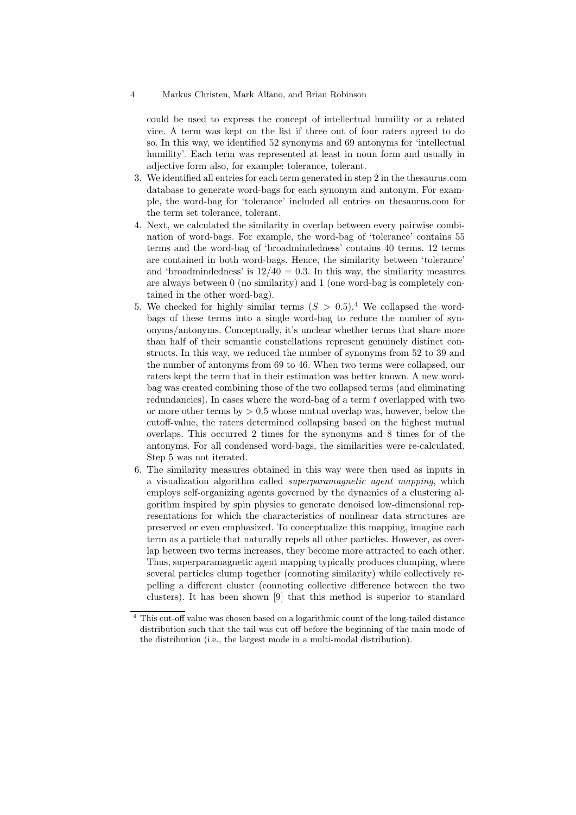#### 4 Markus Christen, Mark Alfano, and Brian Robinson

could be used to express the concept of intellectual humility or a related vice. A term was kept on the list if three out of four raters agreed to do so. In this way, we identified 52 synonyms and 69 antonyms for 'intellectual humility'. Each term was represented at least in noun form and usually in adjective form also, for example: tolerance, tolerant.

- 3. We identified all entries for each term generated in step 2 in the thesaurus.com database to generate word-bags for each synonym and antonym. For example, the word-bag for 'tolerance' included all entries on thesaurus.com for the term set tolerance, tolerant.
- 4. Next, we calculated the similarity in overlap between every pairwise combination of word-bags. For example, the word-bag of 'tolerance' contains 55 terms and the word-bag of 'broadmindedness' contains 40 terms. 12 terms are contained in both word-bags. Hence, the similarity between 'tolerance' and 'broadmindedness' is  $12/40 = 0.3$ . In this way, the similarity measures are always between 0 (no similarity) and 1 (one word-bag is completely contained in the other word-bag).
- 5. We checked for highly similar terms  $(S > 0.5)^4$  We collapsed the wordbags of these terms into a single word-bag to reduce the number of synonyms/antonyms. Conceptually, it's unclear whether terms that share more than half of their semantic constellations represent genuinely distinct constructs. In this way, we reduced the number of synonyms from 52 to 39 and the number of antonyms from 69 to 46. When two terms were collapsed, our raters kept the term that in their estimation was better known. A new wordbag was created combining those of the two collapsed terms (and eliminating redundancies). In cases where the word-bag of a term *t* overlapped with two or more other terms by *>* 0.5 whose mutual overlap was, however, below the cutoff-value, the raters determined collapsing based on the highest mutual overlaps. This occurred 2 times for the synonyms and 8 times for of the antonyms. For all condensed word-bags, the similarities were re-calculated. Step 5 was not iterated.
- 6. The similarity measures obtained in this way were then used as inputs in a visualization algorithm called *superparamagnetic agent mapping*, which employs self-organizing agents governed by the dynamics of a clustering algorithm inspired by spin physics to generate denoised low-dimensional representations for which the characteristics of nonlinear data structures are preserved or even emphasized. To conceptualize this mapping, imagine each term as a particle that naturally repels all other particles. However, as overlap between two terms increases, they become more attracted to each other. Thus, superparamagnetic agent mapping typically produces clumping, where several particles clump together (connoting similarity) while collectively repelling a different cluster (connoting collective difference between the two clusters). It has been shown [9] that this method is superior to standard

<sup>4</sup> This cut-off value was chosen based on a logarithmic count of the long-tailed distance distribution such that the tail was cut off before the beginning of the main mode of the distribution (i.e., the largest mode in a multi-modal distribution).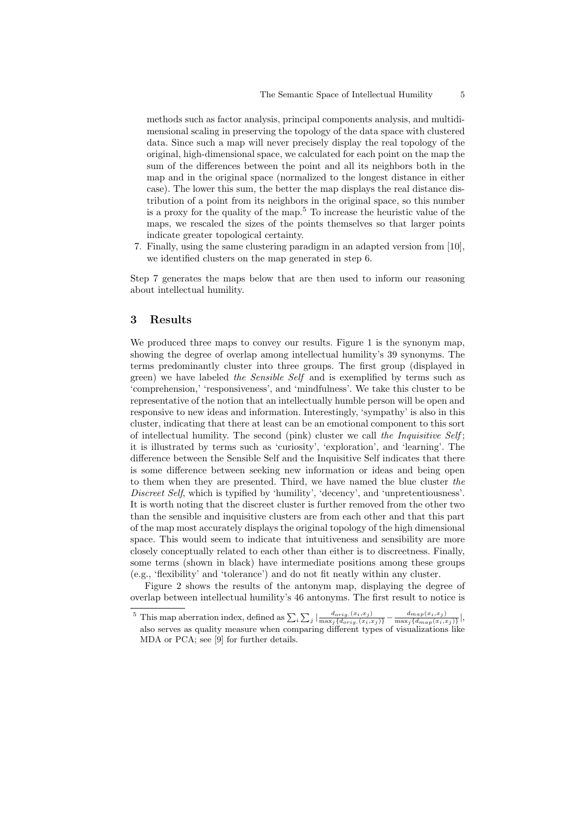methods such as factor analysis, principal components analysis, and multidimensional scaling in preserving the topology of the data space with clustered data. Since such a map will never precisely display the real topology of the original, high-dimensional space, we calculated for each point on the map the sum of the differences between the point and all its neighbors both in the map and in the original space (normalized to the longest distance in either case). The lower this sum, the better the map displays the real distance distribution of a point from its neighbors in the original space, so this number is a proxy for the quality of the map.<sup>5</sup> To increase the heuristic value of the maps, we rescaled the sizes of the points themselves so that larger points indicate greater topological certainty.

7. Finally, using the same clustering paradigm in an adapted version from [10], we identified clusters on the map generated in step 6.

Step 7 generates the maps below that are then used to inform our reasoning about intellectual humility.

### **3 Results**

We produced three maps to convey our results. Figure 1 is the synonym map, showing the degree of overlap among intellectual humility's 39 synonyms. The terms predominantly cluster into three groups. The first group (displayed in green) we have labeled *the Sensible Self* and is exemplified by terms such as 'comprehension,' 'responsiveness', and 'mindfulness'. We take this cluster to be representative of the notion that an intellectually humble person will be open and responsive to new ideas and information. Interestingly, 'sympathy' is also in this cluster, indicating that there at least can be an emotional component to this sort of intellectual humility. The second (pink) cluster we call *the Inquisitive Self* ; it is illustrated by terms such as 'curiosity', 'exploration', and 'learning'. The difference between the Sensible Self and the Inquisitive Self indicates that there is some difference between seeking new information or ideas and being open to them when they are presented. Third, we have named the blue cluster *the Discreet Self*, which is typified by 'humility', 'decency', and 'unpretentiousness'. It is worth noting that the discreet cluster is further removed from the other two than the sensible and inquisitive clusters are from each other and that this part of the map most accurately displays the original topology of the high dimensional space. This would seem to indicate that intuitiveness and sensibility are more closely conceptually related to each other than either is to discreetness. Finally, some terms (shown in black) have intermediate positions among these groups (e.g., 'flexibility' and 'tolerance') and do not fit neatly within any cluster.

Figure 2 shows the results of the antonym map, displaying the degree of overlap between intellectual humility's 46 antonyms. The first result to notice is

<sup>&</sup>lt;sup>5</sup> This map aberration index, defined as  $\sum_i \sum_j \left| \frac{d_{orig.}(x_i, x_j)}{\max_j \{d_{orig.}(x_i, x_j)\}} - \frac{d_{map}(x_i, x_j)}{\max_j \{d_{map}(x_i, x_j)\}} \right|$  $\frac{a_{map}(x_i, x_j)}{\max_j\{d_{map}(x_i, x_j)\}}\Big|,$ also serves as quality measure when comparing different types of visualizations like MDA or PCA; see [9] for further details.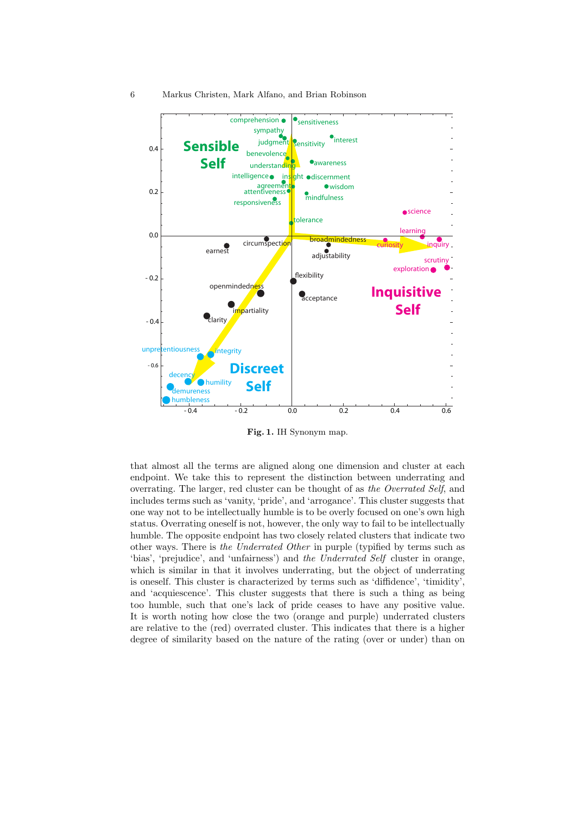

**Fig. 1.** IH Synonym map.

that almost all the terms are aligned along one dimension and cluster at each endpoint. We take this to represent the distinction between underrating and overrating. The larger, red cluster can be thought of as *the Overrated Self*, and includes terms such as 'vanity, 'pride', and 'arrogance'. This cluster suggests that one way not to be intellectually humble is to be overly focused on one's own high status. Overrating oneself is not, however, the only way to fail to be intellectually humble. The opposite endpoint has two closely related clusters that indicate two other ways. There is *the Underrated Other* in purple (typified by terms such as 'bias', 'prejudice', and 'unfairness') and *the Underrated Self* cluster in orange, which is similar in that it involves underrating, but the object of underrating is oneself. This cluster is characterized by terms such as 'diffidence', 'timidity', and 'acquiescence'. This cluster suggests that there is such a thing as being too humble, such that one's lack of pride ceases to have any positive value. It is worth noting how close the two (orange and purple) underrated clusters are relative to the (red) overrated cluster. This indicates that there is a higher degree of similarity based on the nature of the rating (over or under) than on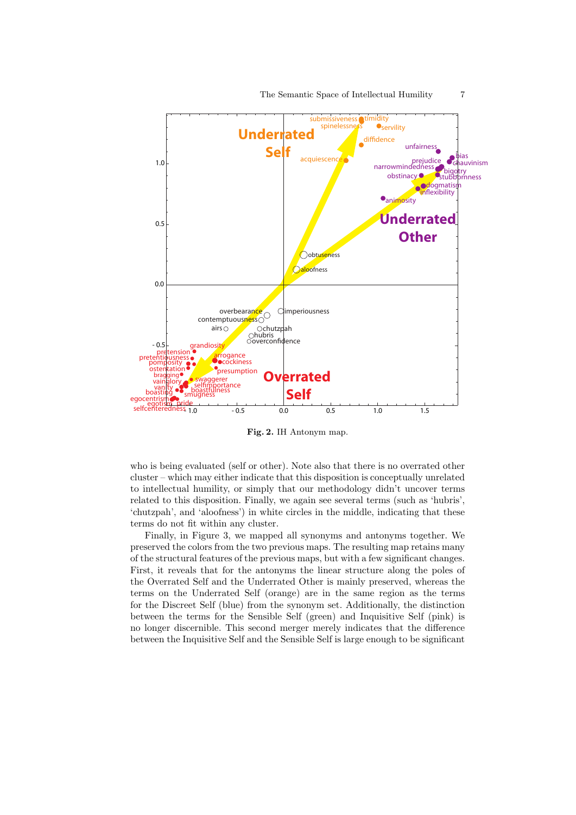

The Semantic Space of Intellectual Humility 7

**Fig. 2.** IH Antonym map.

who is being evaluated (self or other). Note also that there is no overrated other cluster – which may either indicate that this disposition is conceptually unrelated to intellectual humility, or simply that our methodology didn't uncover terms related to this disposition. Finally, we again see several terms (such as 'hubris', 'chutzpah', and 'aloofness') in white circles in the middle, indicating that these terms do not fit within any cluster.

Finally, in Figure 3, we mapped all synonyms and antonyms together. We preserved the colors from the two previous maps. The resulting map retains many of the structural features of the previous maps, but with a few significant changes. First, it reveals that for the antonyms the linear structure along the poles of the Overrated Self and the Underrated Other is mainly preserved, whereas the terms on the Underrated Self (orange) are in the same region as the terms for the Discreet Self (blue) from the synonym set. Additionally, the distinction between the terms for the Sensible Self (green) and Inquisitive Self (pink) is no longer discernible. This second merger merely indicates that the difference between the Inquisitive Self and the Sensible Self is large enough to be significant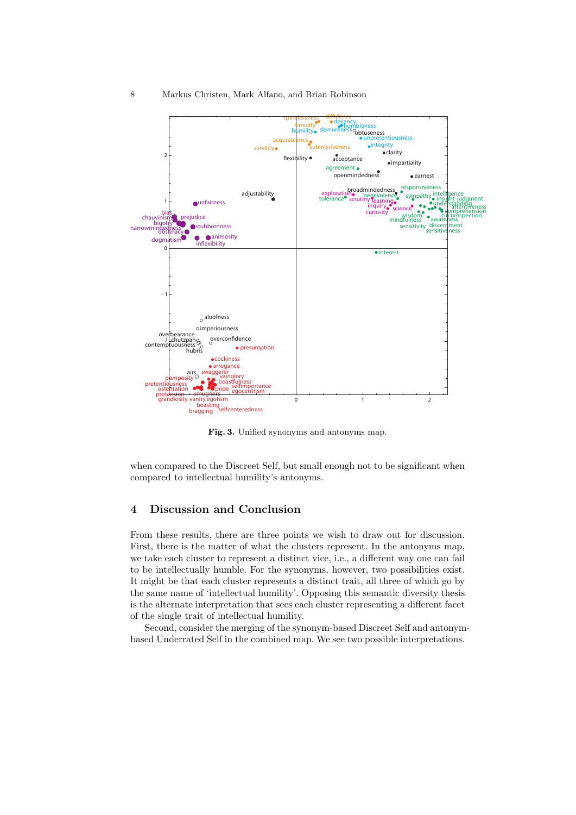

**Fig. 3.** Unified synonyms and antonyms map.

when compared to the Discreet Self, but small enough not to be significant when compared to intellectual humility's antonyms.

# **4 Discussion and Conclusion**

From these results, there are three points we wish to draw out for discussion. First, there is the matter of what the clusters represent. In the antonyms map, we take each cluster to represent a distinct vice, i.e., a different way one can fail to be intellectually humble. For the synonyms, however, two possibilities exist. It might be that each cluster represents a distinct trait, all three of which go by the same name of 'intellectual humility'. Opposing this semantic diversity thesis is the alternate interpretation that sees each cluster representing a different facet of the single trait of intellectual humility.

Second, consider the merging of the synonym-based Discreet Self and antonymbased Underrated Self in the combined map. We see two possible interpretations.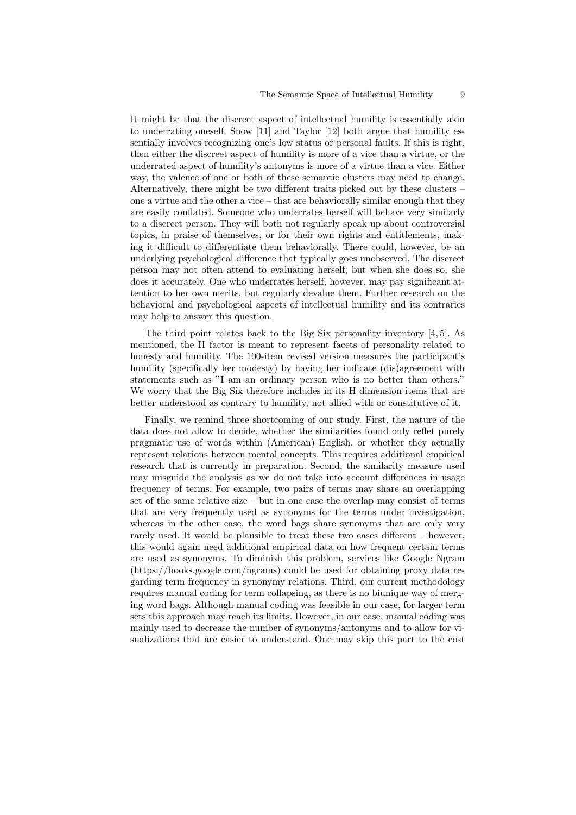It might be that the discreet aspect of intellectual humility is essentially akin to underrating oneself. Snow [11] and Taylor [12] both argue that humility essentially involves recognizing one's low status or personal faults. If this is right, then either the discreet aspect of humility is more of a vice than a virtue, or the underrated aspect of humility's antonyms is more of a virtue than a vice. Either way, the valence of one or both of these semantic clusters may need to change. Alternatively, there might be two different traits picked out by these clusters – one a virtue and the other a vice – that are behaviorally similar enough that they are easily conflated. Someone who underrates herself will behave very similarly to a discreet person. They will both not regularly speak up about controversial topics, in praise of themselves, or for their own rights and entitlements, making it difficult to differentiate them behaviorally. There could, however, be an underlying psychological difference that typically goes unobserved. The discreet person may not often attend to evaluating herself, but when she does so, she does it accurately. One who underrates herself, however, may pay significant attention to her own merits, but regularly devalue them. Further research on the behavioral and psychological aspects of intellectual humility and its contraries may help to answer this question.

The third point relates back to the Big Six personality inventory [4, 5]. As mentioned, the H factor is meant to represent facets of personality related to honesty and humility. The 100-item revised version measures the participant's humility (specifically her modesty) by having her indicate (dis)agreement with statements such as "I am an ordinary person who is no better than others." We worry that the Big Six therefore includes in its H dimension items that are better understood as contrary to humility, not allied with or constitutive of it.

Finally, we remind three shortcoming of our study. First, the nature of the data does not allow to decide, whether the similarities found only reflet purely pragmatic use of words within (American) English, or whether they actually represent relations between mental concepts. This requires additional empirical research that is currently in preparation. Second, the similarity measure used may misguide the analysis as we do not take into account differences in usage frequency of terms. For example, two pairs of terms may share an overlapping set of the same relative size – but in one case the overlap may consist of terms that are very frequently used as synonyms for the terms under investigation, whereas in the other case, the word bags share synonyms that are only very rarely used. It would be plausible to treat these two cases different – however, this would again need additional empirical data on how frequent certain terms are used as synonyms. To diminish this problem, services like Google Ngram (https://books.google.com/ngrams) could be used for obtaining proxy data regarding term frequency in synonymy relations. Third, our current methodology requires manual coding for term collapsing, as there is no biunique way of merging word bags. Although manual coding was feasible in our case, for larger term sets this approach may reach its limits. However, in our case, manual coding was mainly used to decrease the number of synonyms/antonyms and to allow for visualizations that are easier to understand. One may skip this part to the cost